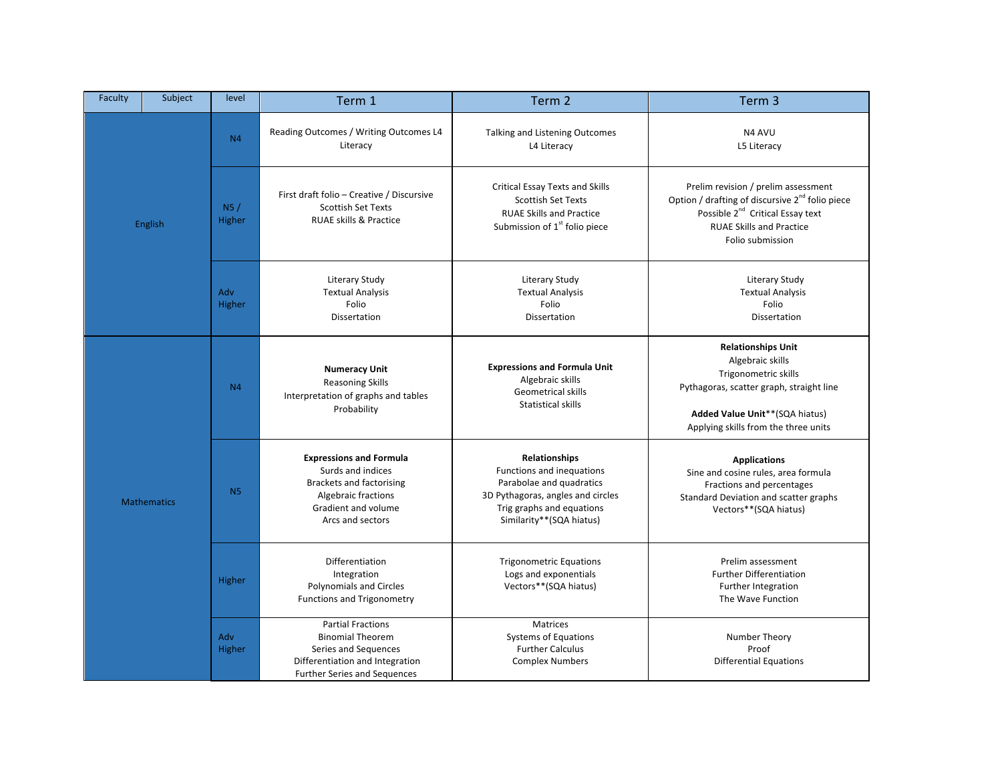| Faculty            | Subject | level          | Term 1                                                                                                                                                          | Term 2                                                                                                                                                               | Term 3                                                                                                                                                                                                    |
|--------------------|---------|----------------|-----------------------------------------------------------------------------------------------------------------------------------------------------------------|----------------------------------------------------------------------------------------------------------------------------------------------------------------------|-----------------------------------------------------------------------------------------------------------------------------------------------------------------------------------------------------------|
| English            |         | N <sub>4</sub> | Reading Outcomes / Writing Outcomes L4<br>Literacy                                                                                                              | Talking and Listening Outcomes<br>L4 Literacy                                                                                                                        | N4 AVU<br>L5 Literacy                                                                                                                                                                                     |
|                    |         | N5/<br>Higher  | First draft folio - Creative / Discursive<br><b>Scottish Set Texts</b><br><b>RUAE skills &amp; Practice</b>                                                     | Critical Essay Texts and Skills<br><b>Scottish Set Texts</b><br><b>RUAE Skills and Practice</b><br>Submission of 1 <sup>st</sup> folio piece                         | Prelim revision / prelim assessment<br>Option / drafting of discursive 2 <sup>nd</sup> folio piece<br>Possible 2 <sup>nd</sup> Critical Essay text<br><b>RUAE Skills and Practice</b><br>Folio submission |
|                    |         | Adv<br>Higher  | <b>Literary Study</b><br><b>Textual Analysis</b><br>Folio<br>Dissertation                                                                                       | <b>Literary Study</b><br><b>Textual Analysis</b><br>Folio<br>Dissertation                                                                                            | <b>Literary Study</b><br><b>Textual Analysis</b><br>Folio<br>Dissertation                                                                                                                                 |
|                    |         | N <sub>4</sub> | <b>Numeracy Unit</b><br><b>Reasoning Skills</b><br>Interpretation of graphs and tables<br>Probability                                                           | <b>Expressions and Formula Unit</b><br>Algebraic skills<br><b>Geometrical skills</b><br>Statistical skills                                                           | <b>Relationships Unit</b><br>Algebraic skills<br>Trigonometric skills<br>Pythagoras, scatter graph, straight line<br>Added Value Unit**(SQA hiatus)<br>Applying skills from the three units               |
| <b>Mathematics</b> |         | N <sub>5</sub> | <b>Expressions and Formula</b><br>Surds and indices<br><b>Brackets and factorising</b><br><b>Algebraic fractions</b><br>Gradient and volume<br>Arcs and sectors | Relationships<br>Functions and inequations<br>Parabolae and quadratics<br>3D Pythagoras, angles and circles<br>Trig graphs and equations<br>Similarity**(SQA hiatus) | <b>Applications</b><br>Sine and cosine rules, area formula<br>Fractions and percentages<br>Standard Deviation and scatter graphs<br>Vectors**(SQA hiatus)                                                 |
|                    |         | Higher         | Differentiation<br>Integration<br>Polynomials and Circles<br>Functions and Trigonometry                                                                         | <b>Trigonometric Equations</b><br>Logs and exponentials<br>Vectors**(SQA hiatus)                                                                                     | Prelim assessment<br><b>Further Differentiation</b><br>Further Integration<br>The Wave Function                                                                                                           |
|                    |         | Adv<br>Higher  | <b>Partial Fractions</b><br><b>Binomial Theorem</b><br>Series and Sequences<br>Differentiation and Integration<br><b>Further Series and Sequences</b>           | <b>Matrices</b><br><b>Systems of Equations</b><br><b>Further Calculus</b><br><b>Complex Numbers</b>                                                                  | Number Theory<br>Proof<br><b>Differential Equations</b>                                                                                                                                                   |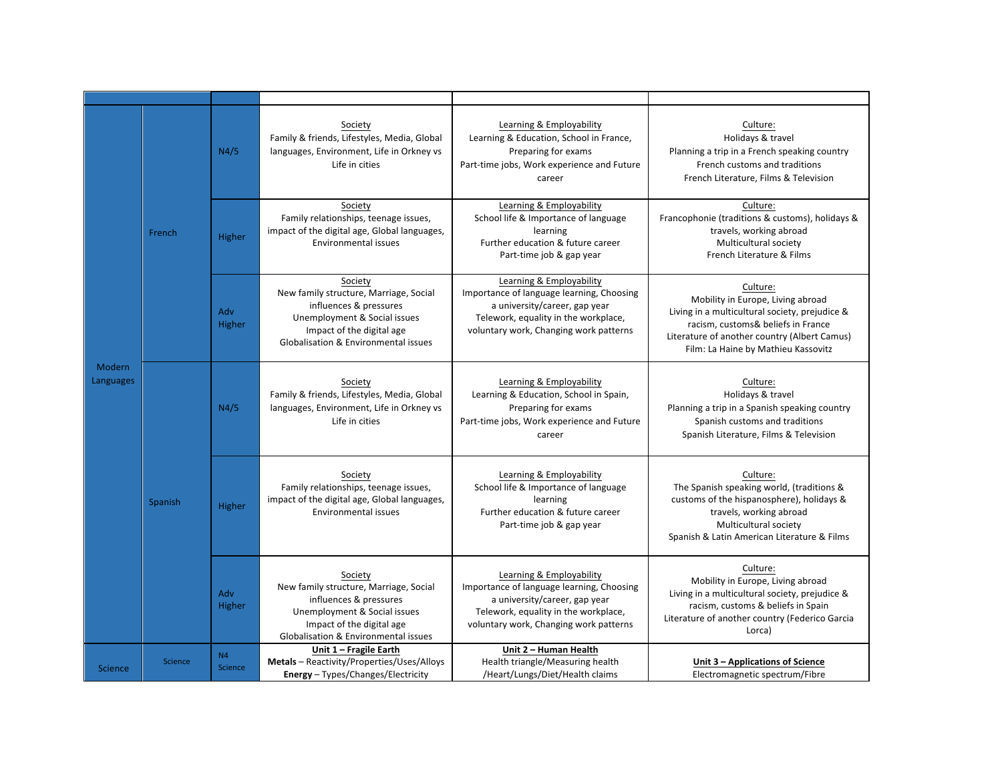| Modern<br>Languages |                | N4/5                             | Society<br>Family & friends, Lifestyles, Media, Global<br>languages, Environment, Life in Orkney vs<br>Life in cities                                                            | Learning & Employability<br>Learning & Education, School in France,<br>Preparing for exams<br>Part-time jobs, Work experience and Future<br>career                                       | Culture:<br>Holidays & travel<br>Planning a trip in a French speaking country<br>French customs and traditions<br>French Literature, Films & Television                                                                      |
|---------------------|----------------|----------------------------------|----------------------------------------------------------------------------------------------------------------------------------------------------------------------------------|------------------------------------------------------------------------------------------------------------------------------------------------------------------------------------------|------------------------------------------------------------------------------------------------------------------------------------------------------------------------------------------------------------------------------|
|                     | French         | <b>Higher</b>                    | Society<br>Family relationships, teenage issues,<br>impact of the digital age, Global languages,<br>Environmental issues                                                         | Learning & Employability<br>School life & Importance of language<br>learning<br>Further education & future career<br>Part-time job & gap year                                            | Culture:<br>Francophonie (traditions & customs), holidays &<br>travels, working abroad<br>Multicultural society<br>French Literature & Films                                                                                 |
|                     |                | Adv<br>Higher                    | Society<br>New family structure, Marriage, Social<br>influences & pressures<br>Unemployment & Social issues<br>Impact of the digital age<br>Globalisation & Environmental issues | Learning & Employability<br>Importance of language learning, Choosing<br>a university/career, gap year<br>Telework, equality in the workplace,<br>voluntary work, Changing work patterns | Culture:<br>Mobility in Europe, Living abroad<br>Living in a multicultural society, prejudice &<br>racism, customs& beliefs in France<br>Literature of another country (Albert Camus)<br>Film: La Haine by Mathieu Kassovitz |
|                     | Spanish        | N4/5                             | Society<br>Family & friends, Lifestyles, Media, Global<br>languages, Environment, Life in Orkney vs<br>Life in cities                                                            | Learning & Employability<br>Learning & Education, School in Spain,<br>Preparing for exams<br>Part-time jobs, Work experience and Future<br>career                                        | Culture:<br>Holidays & travel<br>Planning a trip in a Spanish speaking country<br>Spanish customs and traditions<br>Spanish Literature, Films & Television                                                                   |
|                     |                | Higher                           | Society<br>Family relationships, teenage issues,<br>impact of the digital age, Global languages,<br>Environmental issues                                                         | Learning & Employability<br>School life & Importance of language<br>learning<br>Further education & future career<br>Part-time job & gap year                                            | Culture:<br>The Spanish speaking world, (traditions &<br>customs of the hispanosphere), holidays &<br>travels, working abroad<br>Multicultural society<br>Spanish & Latin American Literature & Films                        |
|                     |                | Adv<br>Higher                    | Society<br>New family structure, Marriage, Social<br>influences & pressures<br>Unemployment & Social issues<br>Impact of the digital age<br>Globalisation & Environmental issues | Learning & Employability<br>Importance of language learning, Choosing<br>a university/career, gap year<br>Telework, equality in the workplace,<br>voluntary work, Changing work patterns | Culture:<br>Mobility in Europe, Living abroad<br>Living in a multicultural society, prejudice &<br>racism, customs & beliefs in Spain<br>Literature of another country (Federico Garcia<br>Lorca)                            |
| <b>Science</b>      | <b>Science</b> | N <sub>4</sub><br><b>Science</b> | Unit 1 - Fragile Earth<br>Metals - Reactivity/Properties/Uses/Alloys<br><b>Energy</b> - Types/Changes/Electricity                                                                | Unit 2 - Human Health<br>Health triangle/Measuring health<br>/Heart/Lungs/Diet/Health claims                                                                                             | Unit 3 – Applications of Science<br>Electromagnetic spectrum/Fibre                                                                                                                                                           |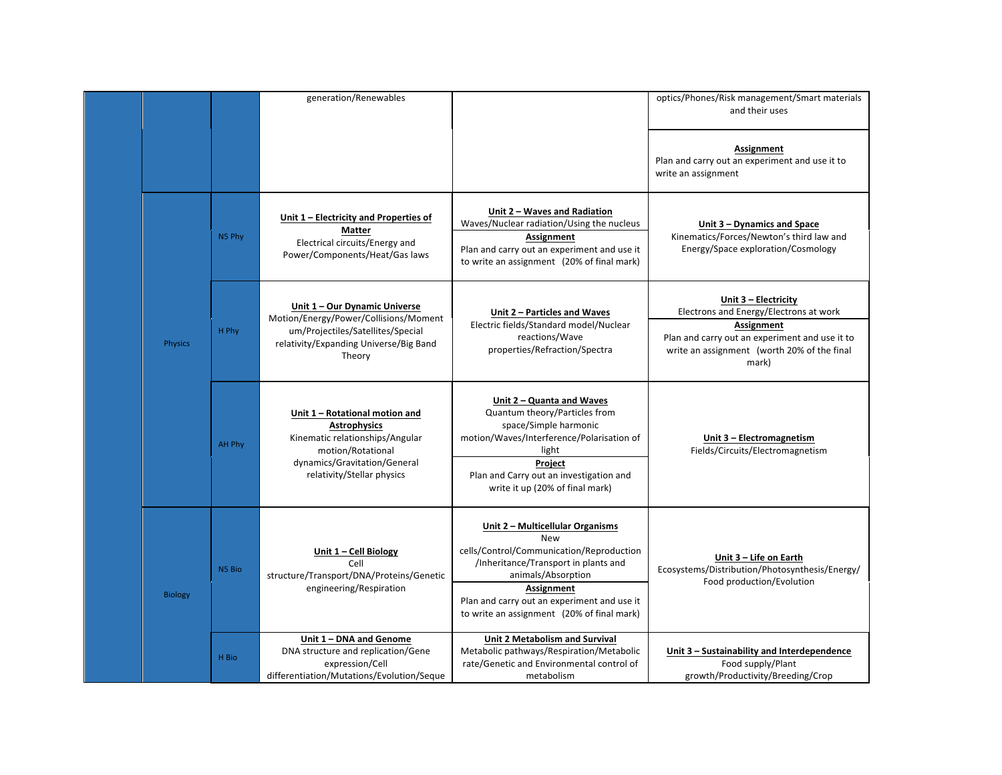|                |        | generation/Renewables                                                                                                                                                       |                                                                                                                                                                                                                                                                     | optics/Phones/Risk management/Smart materials<br>and their uses                                                                                                                        |
|----------------|--------|-----------------------------------------------------------------------------------------------------------------------------------------------------------------------------|---------------------------------------------------------------------------------------------------------------------------------------------------------------------------------------------------------------------------------------------------------------------|----------------------------------------------------------------------------------------------------------------------------------------------------------------------------------------|
|                |        |                                                                                                                                                                             |                                                                                                                                                                                                                                                                     | Assignment<br>Plan and carry out an experiment and use it to<br>write an assignment                                                                                                    |
| Physics        | N5 Phy | Unit 1 - Electricity and Properties of<br><b>Matter</b><br>Electrical circuits/Energy and<br>Power/Components/Heat/Gas laws                                                 | Unit 2 - Waves and Radiation<br>Waves/Nuclear radiation/Using the nucleus<br>Assignment<br>Plan and carry out an experiment and use it<br>to write an assignment (20% of final mark)                                                                                | Unit 3 - Dynamics and Space<br>Kinematics/Forces/Newton's third law and<br>Energy/Space exploration/Cosmology                                                                          |
|                | H Phy  | Unit 1 - Our Dynamic Universe<br>Motion/Energy/Power/Collisions/Moment<br>um/Projectiles/Satellites/Special<br>relativity/Expanding Universe/Big Band<br>Theory             | Unit 2 - Particles and Waves<br>Electric fields/Standard model/Nuclear<br>reactions/Wave<br>properties/Refraction/Spectra                                                                                                                                           | Unit 3 - Electricity<br>Electrons and Energy/Electrons at work<br>Assignment<br>Plan and carry out an experiment and use it to<br>write an assignment (worth 20% of the final<br>mark) |
|                | AH Phy | Unit 1 - Rotational motion and<br><b>Astrophysics</b><br>Kinematic relationships/Angular<br>motion/Rotational<br>dynamics/Gravitation/General<br>relativity/Stellar physics | Unit 2 – Quanta and Waves<br>Quantum theory/Particles from<br>space/Simple harmonic<br>motion/Waves/Interference/Polarisation of<br>light<br>Project<br>Plan and Carry out an investigation and<br>write it up (20% of final mark)                                  | Unit 3 - Electromagnetism<br>Fields/Circuits/Electromagnetism                                                                                                                          |
| <b>Biology</b> | N5 Bio | Unit 1 - Cell Biology<br>Cell<br>structure/Transport/DNA/Proteins/Genetic<br>engineering/Respiration                                                                        | Unit 2 - Multicellular Organisms<br><b>New</b><br>cells/Control/Communication/Reproduction<br>/Inheritance/Transport in plants and<br>animals/Absorption<br>Assignment<br>Plan and carry out an experiment and use it<br>to write an assignment (20% of final mark) | Unit 3 - Life on Earth<br>Ecosystems/Distribution/Photosynthesis/Energy/<br>Food production/Evolution                                                                                  |
|                | H Bio  | Unit 1 - DNA and Genome<br>DNA structure and replication/Gene<br>expression/Cell<br>differentiation/Mutations/Evolution/Seque                                               | Unit 2 Metabolism and Survival<br>Metabolic pathways/Respiration/Metabolic<br>rate/Genetic and Environmental control of<br>metabolism                                                                                                                               | Unit 3 - Sustainability and Interdependence<br>Food supply/Plant<br>growth/Productivity/Breeding/Crop                                                                                  |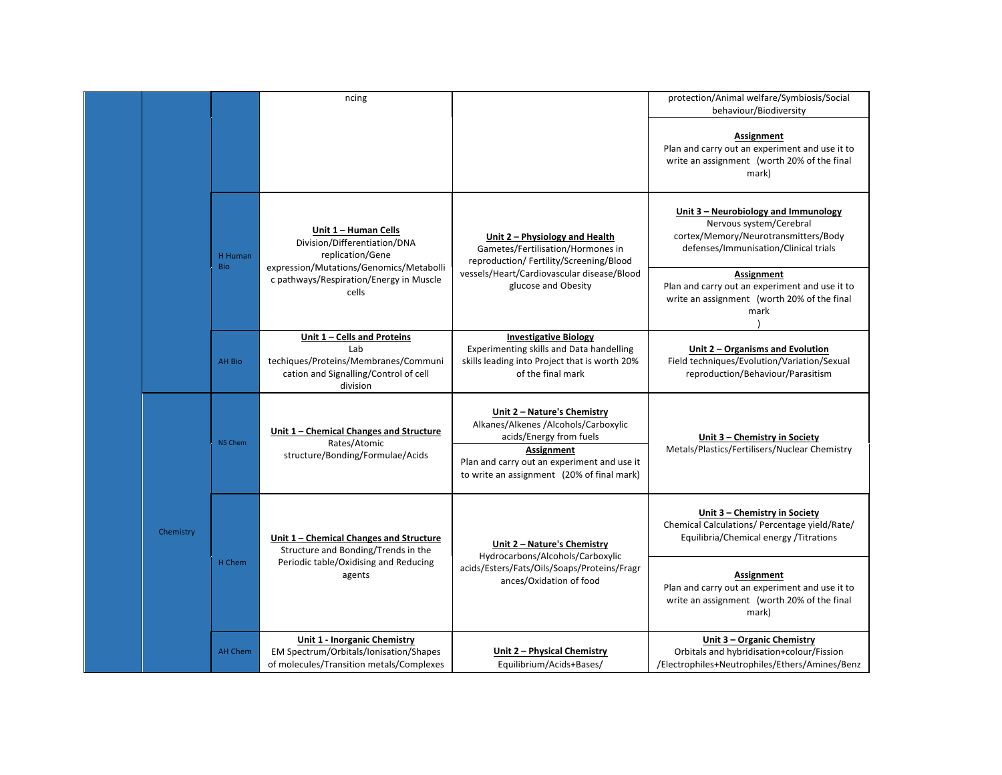|  |           |                       | ncing                                                                                                                             |                                                                                                                                                                                                                  | protection/Animal welfare/Symbiosis/Social<br>behaviour/Biodiversity                                                                             |
|--|-----------|-----------------------|-----------------------------------------------------------------------------------------------------------------------------------|------------------------------------------------------------------------------------------------------------------------------------------------------------------------------------------------------------------|--------------------------------------------------------------------------------------------------------------------------------------------------|
|  |           |                       |                                                                                                                                   |                                                                                                                                                                                                                  | Assignment<br>Plan and carry out an experiment and use it to<br>write an assignment (worth 20% of the final<br>mark)                             |
|  |           | H Human<br><b>Bio</b> | Unit 1 - Human Cells<br>Division/Differentiation/DNA<br>replication/Gene<br>expression/Mutations/Genomics/Metabolli               | Unit 2 - Physiology and Health<br>Gametes/Fertilisation/Hormones in<br>reproduction/ Fertility/Screening/Blood                                                                                                   | Unit 3 - Neurobiology and Immunology<br>Nervous system/Cerebral<br>cortex/Memory/Neurotransmitters/Body<br>defenses/Immunisation/Clinical trials |
|  |           |                       | c pathways/Respiration/Energy in Muscle<br>cells                                                                                  | vessels/Heart/Cardiovascular disease/Blood<br>glucose and Obesity                                                                                                                                                | Assignment<br>Plan and carry out an experiment and use it to<br>write an assignment (worth 20% of the final<br>mark                              |
|  |           | AH Bio                | Unit 1 - Cells and Proteins<br>Lab<br>techiques/Proteins/Membranes/Communi<br>cation and Signalling/Control of cell<br>division   | <b>Investigative Biology</b><br>Experimenting skills and Data handelling<br>skills leading into Project that is worth 20%<br>of the final mark                                                                   | Unit 2 - Organisms and Evolution<br>Field techniques/Evolution/Variation/Sexual<br>reproduction/Behaviour/Parasitism                             |
|  |           | N5 Chem               | Unit 1 - Chemical Changes and Structure<br>Rates/Atomic<br>structure/Bonding/Formulae/Acids                                       | Unit 2 - Nature's Chemistry<br>Alkanes/Alkenes /Alcohols/Carboxylic<br>acids/Energy from fuels<br><b>Assignment</b><br>Plan and carry out an experiment and use it<br>to write an assignment (20% of final mark) | Unit 3 - Chemistry in Society<br>Metals/Plastics/Fertilisers/Nuclear Chemistry                                                                   |
|  | Chemistry | H Chem                | Unit 1 - Chemical Changes and Structure<br>Structure and Bonding/Trends in the<br>Periodic table/Oxidising and Reducing<br>agents | Unit 2 - Nature's Chemistry<br>Hydrocarbons/Alcohols/Carboxylic<br>acids/Esters/Fats/Oils/Soaps/Proteins/Fragr<br>ances/Oxidation of food                                                                        | Unit 3 - Chemistry in Society<br>Chemical Calculations/ Percentage yield/Rate/<br>Equilibria/Chemical energy /Titrations                         |
|  |           |                       |                                                                                                                                   |                                                                                                                                                                                                                  | Assignment<br>Plan and carry out an experiment and use it to<br>write an assignment (worth 20% of the final<br>mark)                             |
|  |           | <b>AH Chem</b>        | <b>Unit 1 - Inorganic Chemistry</b><br>EM Spectrum/Orbitals/Ionisation/Shapes<br>of molecules/Transition metals/Complexes         | Unit 2 - Physical Chemistry<br>Equilibrium/Acids+Bases/                                                                                                                                                          | Unit 3 - Organic Chemistry<br>Orbitals and hybridisation+colour/Fission<br>/Electrophiles+Neutrophiles/Ethers/Amines/Benz                        |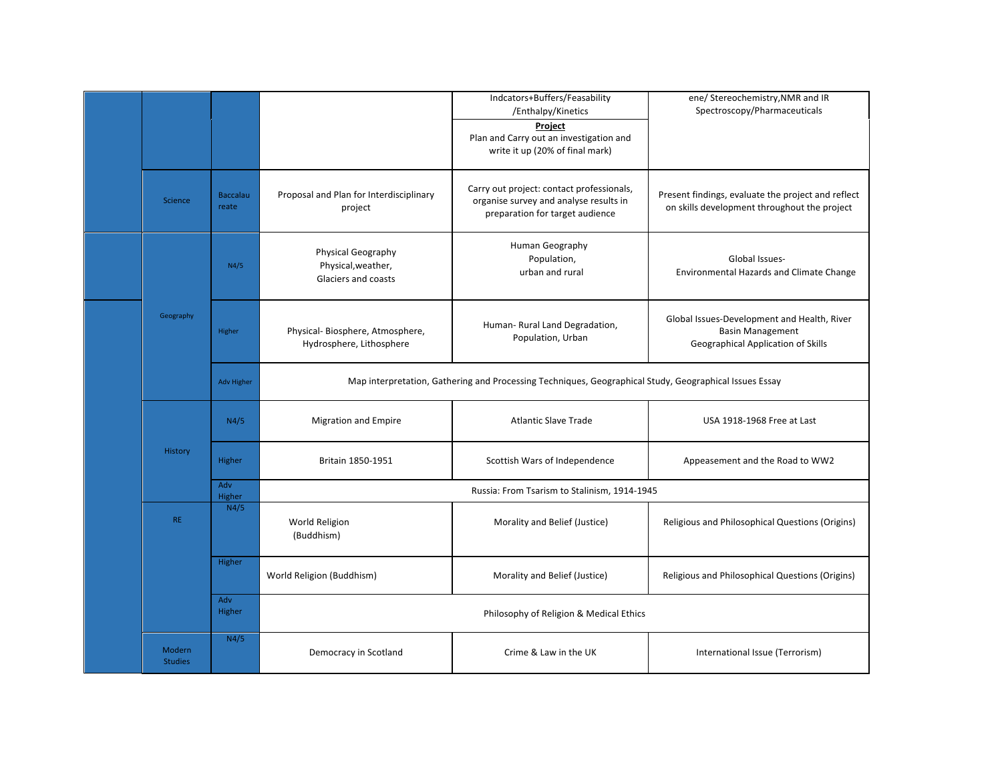|                          |                          |                                                                 | Indcators+Buffers/Feasability<br>/Enthalpy/Kinetics<br>Project<br>Plan and Carry out an investigation and<br>write it up (20% of final mark) | ene/ Stereochemistry, NMR and IR<br>Spectroscopy/Pharmaceuticals                                             |
|--------------------------|--------------------------|-----------------------------------------------------------------|----------------------------------------------------------------------------------------------------------------------------------------------|--------------------------------------------------------------------------------------------------------------|
| <b>Science</b>           | <b>Baccalau</b><br>reate | Proposal and Plan for Interdisciplinary<br>project              | Carry out project: contact professionals,<br>organise survey and analyse results in<br>preparation for target audience                       | Present findings, evaluate the project and reflect<br>on skills development throughout the project           |
|                          | N4/5                     | Physical Geography<br>Physical, weather,<br>Glaciers and coasts | Human Geography<br>Population,<br>urban and rural                                                                                            | Global Issues-<br><b>Environmental Hazards and Climate Change</b>                                            |
| Geography                | Higher                   | Physical-Biosphere, Atmosphere,<br>Hydrosphere, Lithosphere     | Human- Rural Land Degradation,<br>Population, Urban                                                                                          | Global Issues-Development and Health, River<br><b>Basin Management</b><br>Geographical Application of Skills |
|                          | <b>Adv Higher</b>        |                                                                 | Map interpretation, Gathering and Processing Techniques, Geographical Study, Geographical Issues Essay                                       |                                                                                                              |
|                          | N4/5                     | <b>Migration and Empire</b>                                     | <b>Atlantic Slave Trade</b>                                                                                                                  | USA 1918-1968 Free at Last                                                                                   |
| <b>History</b>           | Higher                   | Britain 1850-1951                                               | Scottish Wars of Independence                                                                                                                | Appeasement and the Road to WW2                                                                              |
|                          | Adv<br>Higher            |                                                                 | Russia: From Tsarism to Stalinism, 1914-1945                                                                                                 |                                                                                                              |
| <b>RE</b>                | N4/5                     | World Religion<br>(Buddhism)                                    | Morality and Belief (Justice)                                                                                                                | Religious and Philosophical Questions (Origins)                                                              |
|                          | Higher                   | World Religion (Buddhism)                                       | Morality and Belief (Justice)                                                                                                                | Religious and Philosophical Questions (Origins)                                                              |
|                          | Adv<br>Higher            |                                                                 | Philosophy of Religion & Medical Ethics                                                                                                      |                                                                                                              |
| Modern<br><b>Studies</b> | N4/5                     | Democracy in Scotland                                           | Crime & Law in the UK                                                                                                                        | International Issue (Terrorism)                                                                              |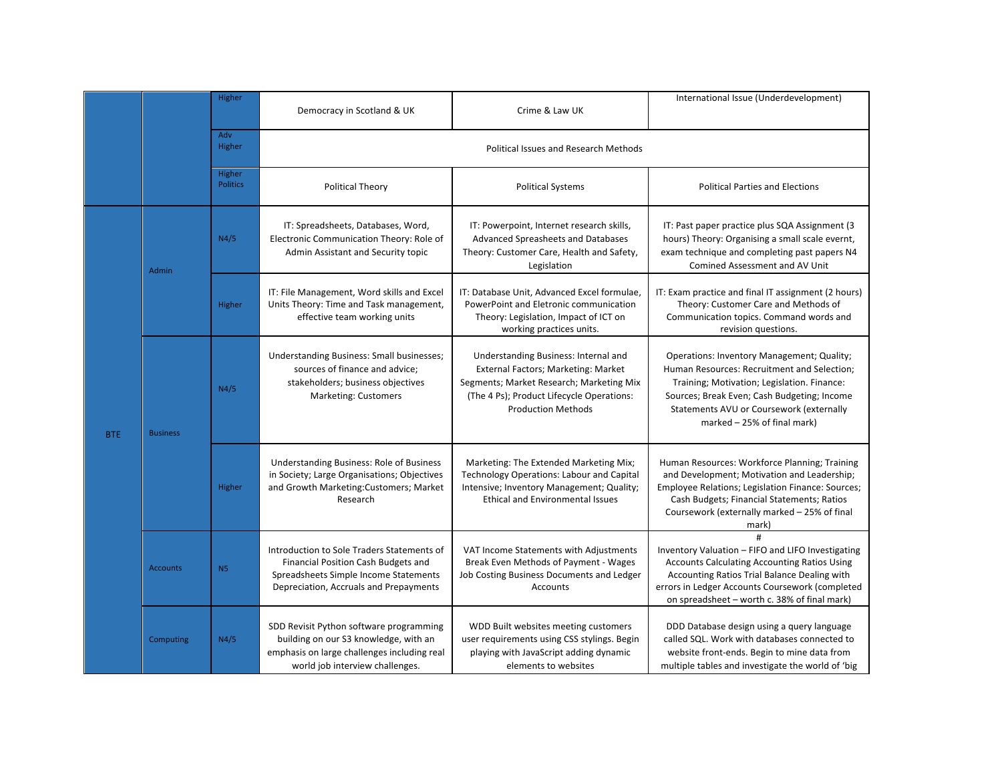|            |                 | Higher                    | Democracy in Scotland & UK                                                                                                                                           | Crime & Law UK                                                                                                                                                                                    | International Issue (Underdevelopment)                                                                                                                                                                                                                                        |
|------------|-----------------|---------------------------|----------------------------------------------------------------------------------------------------------------------------------------------------------------------|---------------------------------------------------------------------------------------------------------------------------------------------------------------------------------------------------|-------------------------------------------------------------------------------------------------------------------------------------------------------------------------------------------------------------------------------------------------------------------------------|
|            |                 | Adv<br>Higher             |                                                                                                                                                                      | <b>Political Issues and Research Methods</b>                                                                                                                                                      |                                                                                                                                                                                                                                                                               |
|            |                 | Higher<br><b>Politics</b> | <b>Political Theory</b>                                                                                                                                              | <b>Political Systems</b>                                                                                                                                                                          | <b>Political Parties and Elections</b>                                                                                                                                                                                                                                        |
| <b>BTE</b> | Admin           | N4/5                      | IT: Spreadsheets, Databases, Word,<br>Electronic Communication Theory: Role of<br>Admin Assistant and Security topic                                                 | IT: Powerpoint, Internet research skills,<br>Advanced Spreasheets and Databases<br>Theory: Customer Care, Health and Safety,<br>Legislation                                                       | IT: Past paper practice plus SQA Assignment (3<br>hours) Theory: Organising a small scale evernt,<br>exam technique and completing past papers N4<br><b>Comined Assessment and AV Unit</b>                                                                                    |
|            |                 | Higher                    | IT: File Management, Word skills and Excel<br>Units Theory: Time and Task management,<br>effective team working units                                                | IT: Database Unit, Advanced Excel formulae,<br>PowerPoint and Eletronic communication<br>Theory: Legislation, Impact of ICT on<br>working practices units.                                        | IT: Exam practice and final IT assignment (2 hours)<br>Theory: Customer Care and Methods of<br>Communication topics. Command words and<br>revision questions.                                                                                                                 |
|            | <b>Business</b> | N4/5                      | Understanding Business: Small businesses;<br>sources of finance and advice;<br>stakeholders; business objectives<br><b>Marketing: Customers</b>                      | Understanding Business: Internal and<br>External Factors; Marketing: Market<br>Segments; Market Research; Marketing Mix<br>(The 4 Ps); Product Lifecycle Operations:<br><b>Production Methods</b> | Operations: Inventory Management; Quality;<br>Human Resources: Recruitment and Selection;<br>Training; Motivation; Legislation. Finance:<br>Sources; Break Even; Cash Budgeting; Income<br>Statements AVU or Coursework (externally<br>marked $-25%$ of final mark)           |
|            |                 | Higher                    | Understanding Business: Role of Business<br>in Society; Large Organisations; Objectives<br>and Growth Marketing: Customers; Market<br>Research                       | Marketing: The Extended Marketing Mix;<br><b>Technology Operations: Labour and Capital</b><br>Intensive; Inventory Management; Quality;<br><b>Ethical and Environmental Issues</b>                | Human Resources: Workforce Planning; Training<br>and Development; Motivation and Leadership;<br>Employee Relations; Legislation Finance: Sources;<br>Cash Budgets; Financial Statements; Ratios<br>Coursework (externally marked - 25% of final<br>mark)                      |
|            | <b>Accounts</b> | N <sub>5</sub>            | Introduction to Sole Traders Statements of<br>Financial Position Cash Budgets and<br>Spreadsheets Simple Income Statements<br>Depreciation, Accruals and Prepayments | VAT Income Statements with Adjustments<br>Break Even Methods of Payment - Wages<br>Job Costing Business Documents and Ledger<br>Accounts                                                          | $\pmb{\sharp}$<br>Inventory Valuation - FIFO and LIFO Investigating<br><b>Accounts Calculating Accounting Ratios Using</b><br>Accounting Ratios Trial Balance Dealing with<br>errors in Ledger Accounts Coursework (completed<br>on spreadsheet - worth c. 38% of final mark) |
|            | Computing       | N4/5                      | SDD Revisit Python software programming<br>building on our S3 knowledge, with an<br>emphasis on large challenges including real<br>world job interview challenges.   | WDD Built websites meeting customers<br>user requirements using CSS stylings. Begin<br>playing with JavaScript adding dynamic<br>elements to websites                                             | DDD Database design using a query language<br>called SQL. Work with databases connected to<br>website front-ends. Begin to mine data from<br>multiple tables and investigate the world of 'big                                                                                |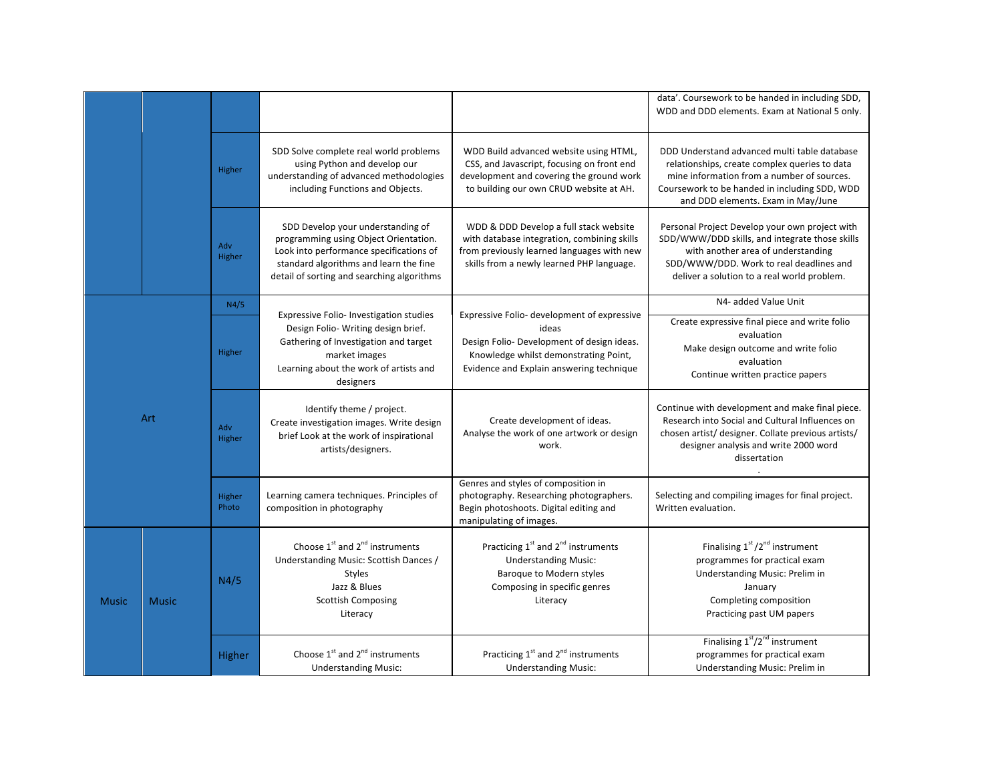|              |              |                 |                                                                                                                                                                                                               |                                                                                                                                                                                         | data'. Coursework to be handed in including SDD,                                                                                                                                                                                   |
|--------------|--------------|-----------------|---------------------------------------------------------------------------------------------------------------------------------------------------------------------------------------------------------------|-----------------------------------------------------------------------------------------------------------------------------------------------------------------------------------------|------------------------------------------------------------------------------------------------------------------------------------------------------------------------------------------------------------------------------------|
|              |              |                 |                                                                                                                                                                                                               |                                                                                                                                                                                         | WDD and DDD elements. Exam at National 5 only.                                                                                                                                                                                     |
|              |              | Higher          | SDD Solve complete real world problems<br>using Python and develop our<br>understanding of advanced methodologies<br>including Functions and Objects.                                                         | WDD Build advanced website using HTML,<br>CSS, and Javascript, focusing on front end<br>development and covering the ground work<br>to building our own CRUD website at AH.             | DDD Understand advanced multi table database<br>relationships, create complex queries to data<br>mine information from a number of sources.<br>Coursework to be handed in including SDD, WDD<br>and DDD elements. Exam in May/June |
|              |              | Adv<br>Higher   | SDD Develop your understanding of<br>programming using Object Orientation.<br>Look into performance specifications of<br>standard algorithms and learn the fine<br>detail of sorting and searching algorithms | WDD & DDD Develop a full stack website<br>with database integration, combining skills<br>from previously learned languages with new<br>skills from a newly learned PHP language.        | Personal Project Develop your own project with<br>SDD/WWW/DDD skills, and integrate those skills<br>with another area of understanding<br>SDD/WWW/DDD. Work to real deadlines and<br>deliver a solution to a real world problem.   |
|              |              | N4/5            |                                                                                                                                                                                                               |                                                                                                                                                                                         | N4- added Value Unit                                                                                                                                                                                                               |
| Art          |              | Higher          | <b>Expressive Folio-Investigation studies</b><br>Design Folio-Writing design brief.<br>Gathering of Investigation and target<br>market images<br>Learning about the work of artists and<br>designers          | Expressive Folio- development of expressive<br>ideas<br>Design Folio- Development of design ideas.<br>Knowledge whilst demonstrating Point,<br>Evidence and Explain answering technique | Create expressive final piece and write folio<br>evaluation<br>Make design outcome and write folio<br>evaluation<br>Continue written practice papers                                                                               |
|              |              | Adv<br>Higher   | Identify theme / project.<br>Create investigation images. Write design<br>brief Look at the work of inspirational<br>artists/designers.                                                                       | Create development of ideas.<br>Analyse the work of one artwork or design<br>work.                                                                                                      | Continue with development and make final piece.<br>Research into Social and Cultural Influences on<br>chosen artist/ designer. Collate previous artists/<br>designer analysis and write 2000 word<br>dissertation                  |
|              |              | Higher<br>Photo | Learning camera techniques. Principles of<br>composition in photography                                                                                                                                       | Genres and styles of composition in<br>photography. Researching photographers.<br>Begin photoshoots. Digital editing and<br>manipulating of images.                                     | Selecting and compiling images for final project.<br>Written evaluation.                                                                                                                                                           |
| <b>Music</b> | <b>Music</b> | N4/5            | Choose $1^{st}$ and $2^{nd}$ instruments<br>Understanding Music: Scottish Dances /<br>Styles<br>Jazz & Blues<br><b>Scottish Composing</b><br>Literacy                                                         | Practicing 1 <sup>st</sup> and 2 <sup>nd</sup> instruments<br><b>Understanding Music:</b><br>Baroque to Modern styles<br>Composing in specific genres<br>Literacy                       | Finalising 1st /2 <sup>nd</sup> instrument<br>programmes for practical exam<br>Understanding Music: Prelim in<br>January<br>Completing composition<br>Practicing past UM papers                                                    |
|              |              | Higher          | Choose $1^{st}$ and $2^{nd}$ instruments<br><b>Understanding Music:</b>                                                                                                                                       | Practicing 1 <sup>st</sup> and 2 <sup>nd</sup> instruments<br><b>Understanding Music:</b>                                                                                               | Finalising $1st/2nd$ instrument<br>programmes for practical exam<br>Understanding Music: Prelim in                                                                                                                                 |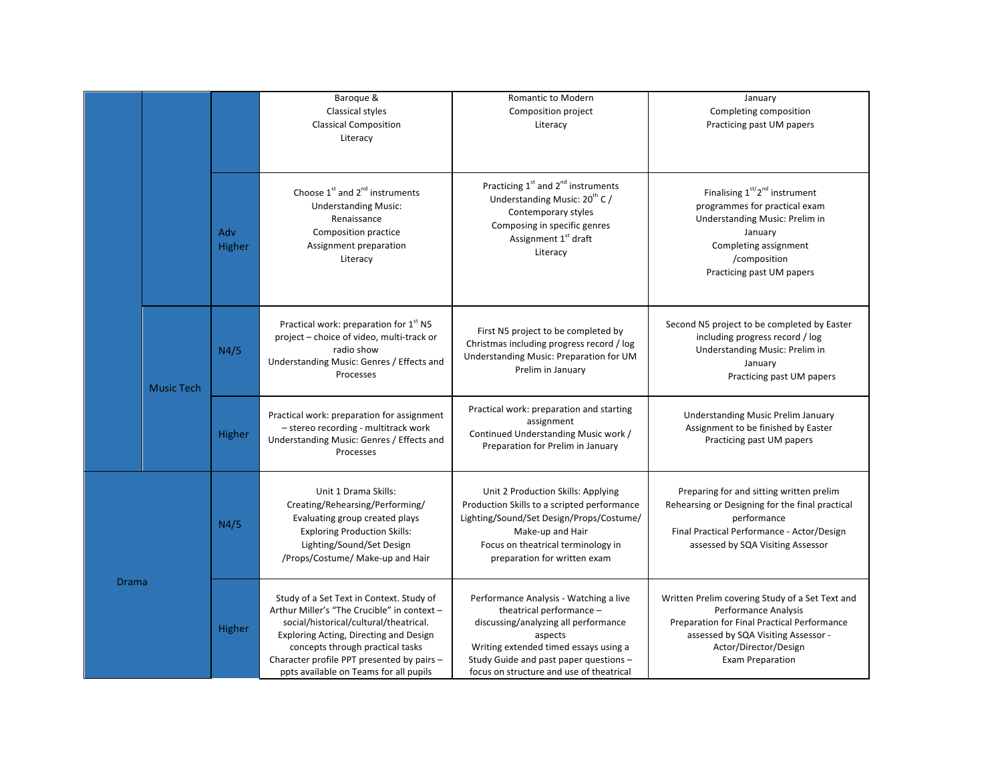|              |                   |               | Baroque &<br>Classical styles<br><b>Classical Composition</b><br>Literacy                                                                                                                                                                                                                               | Romantic to Modern<br>Composition project<br>Literacy                                                                                                                                                                                                | January<br>Completing composition<br>Practicing past UM papers                                                                                                                                                           |
|--------------|-------------------|---------------|---------------------------------------------------------------------------------------------------------------------------------------------------------------------------------------------------------------------------------------------------------------------------------------------------------|------------------------------------------------------------------------------------------------------------------------------------------------------------------------------------------------------------------------------------------------------|--------------------------------------------------------------------------------------------------------------------------------------------------------------------------------------------------------------------------|
|              |                   | Adv<br>Higher | Choose $1^{st}$ and $2^{nd}$ instruments<br><b>Understanding Music:</b><br>Renaissance<br>Composition practice<br>Assignment preparation<br>Literacy                                                                                                                                                    | Practicing 1 <sup>st</sup> and 2 <sup>nd</sup> instruments<br>Understanding Music: 20 <sup>th</sup> C /<br>Contemporary styles<br>Composing in specific genres<br>Assignment 1st draft<br>Literacy                                                   | Finalising 1 <sup>st/2nd</sup> instrument<br>programmes for practical exam<br>Understanding Music: Prelim in<br>January<br>Completing assignment<br>/composition<br>Practicing past UM papers                            |
|              | <b>Music Tech</b> | N4/5          | Practical work: preparation for 1 <sup>st</sup> N5<br>project - choice of video, multi-track or<br>radio show<br>Understanding Music: Genres / Effects and<br>Processes                                                                                                                                 | First N5 project to be completed by<br>Christmas including progress record / log<br>Understanding Music: Preparation for UM<br>Prelim in January                                                                                                     | Second N5 project to be completed by Easter<br>including progress record / log<br>Understanding Music: Prelim in<br>January<br>Practicing past UM papers                                                                 |
|              |                   | Higher        | Practical work: preparation for assignment<br>- stereo recording - multitrack work<br>Understanding Music: Genres / Effects and<br>Processes                                                                                                                                                            | Practical work: preparation and starting<br>assignment<br>Continued Understanding Music work /<br>Preparation for Prelim in January                                                                                                                  | <b>Understanding Music Prelim January</b><br>Assignment to be finished by Easter<br>Practicing past UM papers                                                                                                            |
| <b>Drama</b> |                   | N4/5          | Unit 1 Drama Skills:<br>Creating/Rehearsing/Performing/<br>Evaluating group created plays<br><b>Exploring Production Skills:</b><br>Lighting/Sound/Set Design<br>/Props/Costume/ Make-up and Hair                                                                                                       | Unit 2 Production Skills: Applying<br>Production Skills to a scripted performance<br>Lighting/Sound/Set Design/Props/Costume/<br>Make-up and Hair<br>Focus on theatrical terminology in<br>preparation for written exam                              | Preparing for and sitting written prelim<br>Rehearsing or Designing for the final practical<br>performance<br>Final Practical Performance - Actor/Design<br>assessed by SQA Visiting Assessor                            |
|              |                   | Higher        | Study of a Set Text in Context. Study of<br>Arthur Miller's "The Crucible" in context -<br>social/historical/cultural/theatrical.<br>Exploring Acting, Directing and Design<br>concepts through practical tasks<br>Character profile PPT presented by pairs -<br>ppts available on Teams for all pupils | Performance Analysis - Watching a live<br>theatrical performance -<br>discussing/analyzing all performance<br>aspects<br>Writing extended timed essays using a<br>Study Guide and past paper questions -<br>focus on structure and use of theatrical | Written Prelim covering Study of a Set Text and<br>Performance Analysis<br><b>Preparation for Final Practical Performance</b><br>assessed by SQA Visiting Assessor -<br>Actor/Director/Design<br><b>Exam Preparation</b> |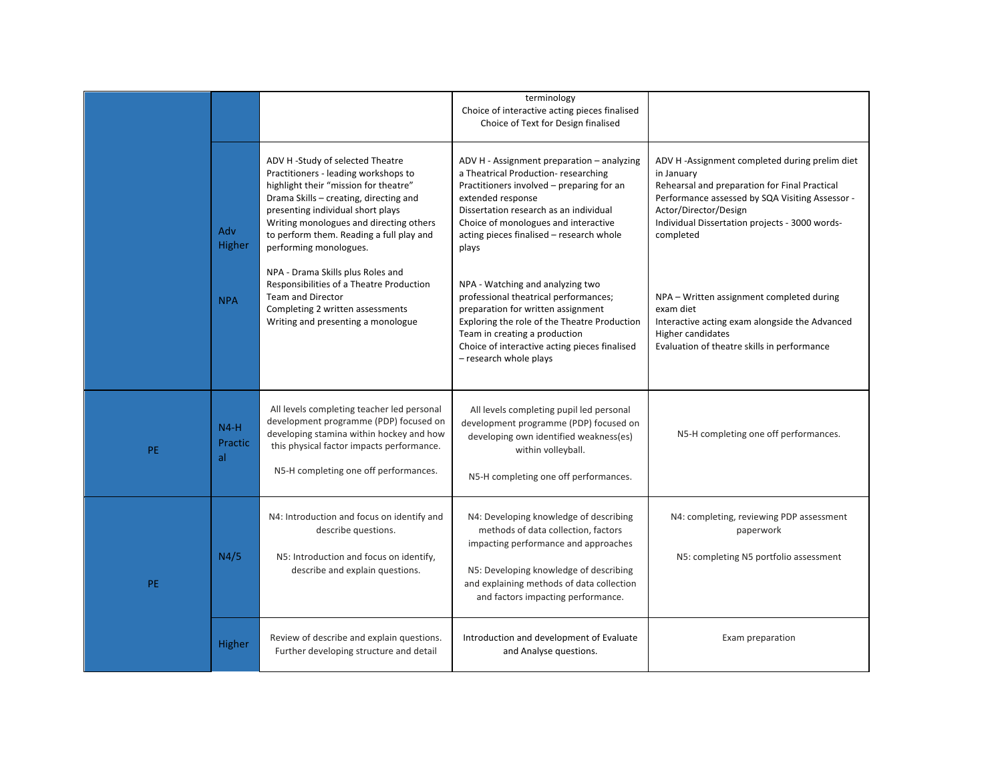|           |                         |                                                                                                                                                                                                                                                                                                                   | terminology<br>Choice of interactive acting pieces finalised<br>Choice of Text for Design finalised                                                                                                                                                                                        |                                                                                                                                                                                                                                                          |
|-----------|-------------------------|-------------------------------------------------------------------------------------------------------------------------------------------------------------------------------------------------------------------------------------------------------------------------------------------------------------------|--------------------------------------------------------------------------------------------------------------------------------------------------------------------------------------------------------------------------------------------------------------------------------------------|----------------------------------------------------------------------------------------------------------------------------------------------------------------------------------------------------------------------------------------------------------|
|           | Adv<br>Higher           | ADV H -Study of selected Theatre<br>Practitioners - leading workshops to<br>highlight their "mission for theatre"<br>Drama Skills - creating, directing and<br>presenting individual short plays<br>Writing monologues and directing others<br>to perform them. Reading a full play and<br>performing monologues. | ADV H - Assignment preparation - analyzing<br>a Theatrical Production-researching<br>Practitioners involved - preparing for an<br>extended response<br>Dissertation research as an individual<br>Choice of monologues and interactive<br>acting pieces finalised - research whole<br>plays | ADV H -Assignment completed during prelim diet<br>in January<br>Rehearsal and preparation for Final Practical<br>Performance assessed by SQA Visiting Assessor -<br>Actor/Director/Design<br>Individual Dissertation projects - 3000 words-<br>completed |
|           | <b>NPA</b>              | NPA - Drama Skills plus Roles and<br>Responsibilities of a Theatre Production<br><b>Team and Director</b><br>Completing 2 written assessments<br>Writing and presenting a monologue                                                                                                                               | NPA - Watching and analyzing two<br>professional theatrical performances;<br>preparation for written assignment<br>Exploring the role of the Theatre Production<br>Team in creating a production<br>Choice of interactive acting pieces finalised<br>- research whole plays                | NPA - Written assignment completed during<br>exam diet<br>Interactive acting exam alongside the Advanced<br>Higher candidates<br>Evaluation of theatre skills in performance                                                                             |
| <b>PE</b> | $N4-H$<br>Practic<br>al | All levels completing teacher led personal<br>development programme (PDP) focused on<br>developing stamina within hockey and how<br>this physical factor impacts performance.<br>N5-H completing one off performances.                                                                                            | All levels completing pupil led personal<br>development programme (PDP) focused on<br>developing own identified weakness(es)<br>within volleyball.<br>N5-H completing one off performances.                                                                                                | N5-H completing one off performances.                                                                                                                                                                                                                    |
| <b>PE</b> | N4/5                    | N4: Introduction and focus on identify and<br>describe questions.<br>N5: Introduction and focus on identify,<br>describe and explain questions.                                                                                                                                                                   | N4: Developing knowledge of describing<br>methods of data collection, factors<br>impacting performance and approaches<br>N5: Developing knowledge of describing<br>and explaining methods of data collection<br>and factors impacting performance.                                         | N4: completing, reviewing PDP assessment<br>paperwork<br>N5: completing N5 portfolio assessment                                                                                                                                                          |
|           | Higher                  | Review of describe and explain questions.<br>Further developing structure and detail                                                                                                                                                                                                                              | Introduction and development of Evaluate<br>and Analyse questions.                                                                                                                                                                                                                         | Exam preparation                                                                                                                                                                                                                                         |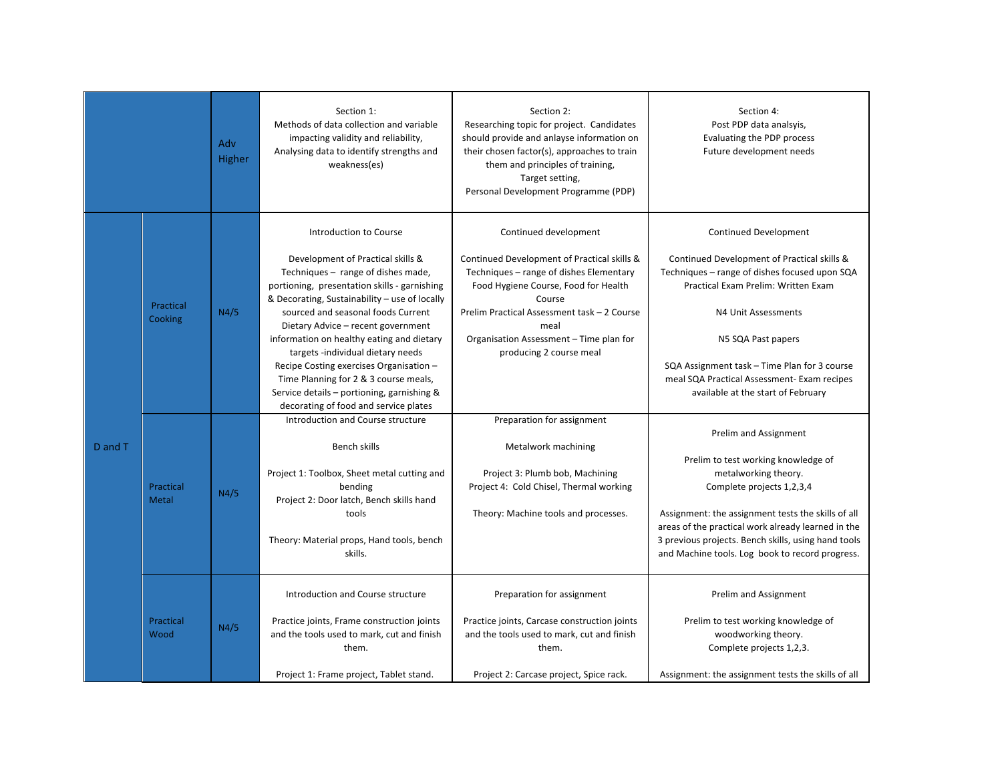|         |                           | Adv<br>Higher | Section 1:<br>Methods of data collection and variable<br>impacting validity and reliability,<br>Analysing data to identify strengths and<br>weakness(es)                                                                                                                                                                                                                                                                                                                                           | Section 2:<br>Researching topic for project. Candidates<br>should provide and anlayse information on<br>their chosen factor(s), approaches to train<br>them and principles of training,<br>Target setting,<br>Personal Development Programme (PDP)                                             | Section 4:<br>Post PDP data analsyis,<br>Evaluating the PDP process<br>Future development needs                                                                                                                                                                                                                                                       |
|---------|---------------------------|---------------|----------------------------------------------------------------------------------------------------------------------------------------------------------------------------------------------------------------------------------------------------------------------------------------------------------------------------------------------------------------------------------------------------------------------------------------------------------------------------------------------------|------------------------------------------------------------------------------------------------------------------------------------------------------------------------------------------------------------------------------------------------------------------------------------------------|-------------------------------------------------------------------------------------------------------------------------------------------------------------------------------------------------------------------------------------------------------------------------------------------------------------------------------------------------------|
| D and T | Practical<br>Cooking      | N4/5          | Introduction to Course<br>Development of Practical skills &<br>Techniques - range of dishes made,<br>portioning, presentation skills - garnishing<br>& Decorating, Sustainability - use of locally<br>sourced and seasonal foods Current<br>Dietary Advice - recent government<br>information on healthy eating and dietary<br>targets -individual dietary needs<br>Recipe Costing exercises Organisation -<br>Time Planning for 2 & 3 course meals,<br>Service details - portioning, garnishing & | Continued development<br>Continued Development of Practical skills &<br>Techniques - range of dishes Elementary<br>Food Hygiene Course, Food for Health<br>Course<br>Prelim Practical Assessment task - 2 Course<br>meal<br>Organisation Assessment - Time plan for<br>producing 2 course meal | <b>Continued Development</b><br>Continued Development of Practical skills &<br>Techniques - range of dishes focused upon SQA<br>Practical Exam Prelim: Written Exam<br>N4 Unit Assessments<br>N5 SQA Past papers<br>SQA Assignment task – Time Plan for 3 course<br>meal SQA Practical Assessment- Exam recipes<br>available at the start of February |
|         | Practical<br><b>Metal</b> | N4/5          | decorating of food and service plates<br>Introduction and Course structure<br>Bench skills<br>Project 1: Toolbox, Sheet metal cutting and<br>bending<br>Project 2: Door latch, Bench skills hand<br>tools<br>Theory: Material props, Hand tools, bench<br>skills.                                                                                                                                                                                                                                  | Preparation for assignment<br>Metalwork machining<br>Project 3: Plumb bob, Machining<br>Project 4: Cold Chisel, Thermal working<br>Theory: Machine tools and processes.                                                                                                                        | Prelim and Assignment<br>Prelim to test working knowledge of<br>metalworking theory.<br>Complete projects 1,2,3,4<br>Assignment: the assignment tests the skills of all<br>areas of the practical work already learned in the<br>3 previous projects. Bench skills, using hand tools<br>and Machine tools. Log book to record progress.               |
|         | Practical<br>Wood         | N4/5          | Introduction and Course structure<br>Practice joints, Frame construction joints<br>and the tools used to mark, cut and finish<br>them.<br>Project 1: Frame project, Tablet stand.                                                                                                                                                                                                                                                                                                                  | Preparation for assignment<br>Practice joints, Carcase construction joints<br>and the tools used to mark, cut and finish<br>them.<br>Project 2: Carcase project, Spice rack.                                                                                                                   | Prelim and Assignment<br>Prelim to test working knowledge of<br>woodworking theory.<br>Complete projects 1,2,3.<br>Assignment: the assignment tests the skills of all                                                                                                                                                                                 |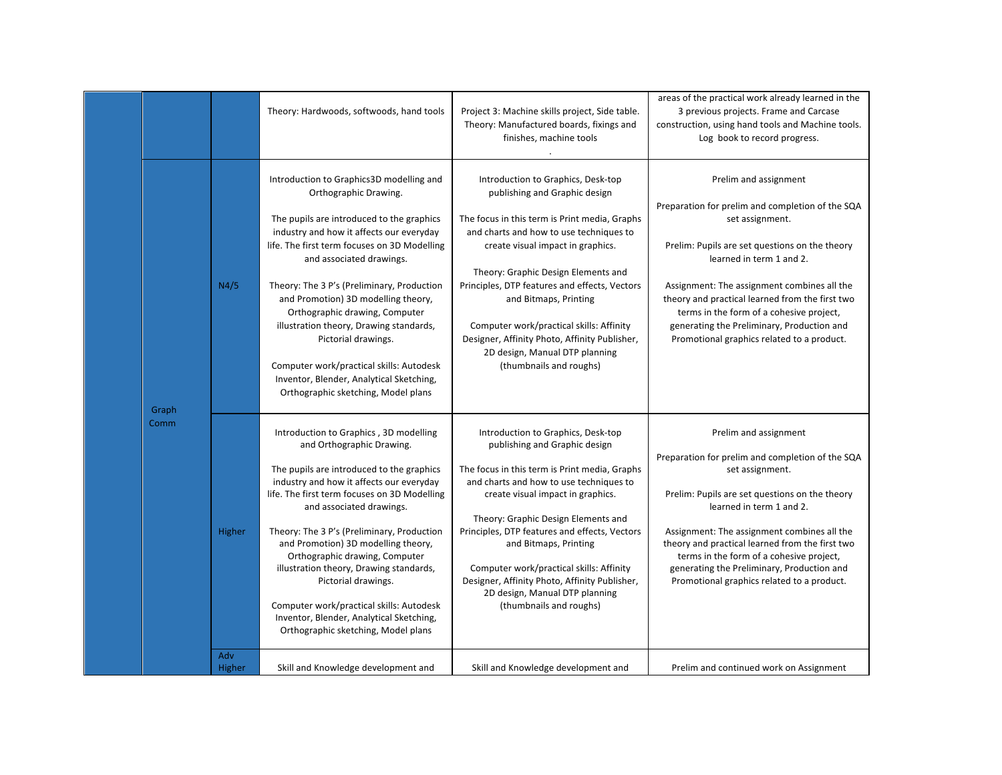|       |               | Theory: Hardwoods, softwoods, hand tools                                                                                                                                                                                                                                                                                                                                                                                                                                                                                                                         | Project 3: Machine skills project, Side table.<br>Theory: Manufactured boards, fixings and<br>finishes, machine tools                                                                                                                                                                                                                                                                                                                                                           | areas of the practical work already learned in the<br>3 previous projects. Frame and Carcase<br>construction, using hand tools and Machine tools.<br>Log book to record progress.                                                                                                                                                                                                                                    |
|-------|---------------|------------------------------------------------------------------------------------------------------------------------------------------------------------------------------------------------------------------------------------------------------------------------------------------------------------------------------------------------------------------------------------------------------------------------------------------------------------------------------------------------------------------------------------------------------------------|---------------------------------------------------------------------------------------------------------------------------------------------------------------------------------------------------------------------------------------------------------------------------------------------------------------------------------------------------------------------------------------------------------------------------------------------------------------------------------|----------------------------------------------------------------------------------------------------------------------------------------------------------------------------------------------------------------------------------------------------------------------------------------------------------------------------------------------------------------------------------------------------------------------|
| Graph | N4/5          | Introduction to Graphics3D modelling and<br>Orthographic Drawing.<br>The pupils are introduced to the graphics<br>industry and how it affects our everyday<br>life. The first term focuses on 3D Modelling<br>and associated drawings.<br>Theory: The 3 P's (Preliminary, Production<br>and Promotion) 3D modelling theory,<br>Orthographic drawing, Computer<br>illustration theory, Drawing standards,<br>Pictorial drawings.<br>Computer work/practical skills: Autodesk<br>Inventor, Blender, Analytical Sketching,<br>Orthographic sketching, Model plans   | Introduction to Graphics, Desk-top<br>publishing and Graphic design<br>The focus in this term is Print media, Graphs<br>and charts and how to use techniques to<br>create visual impact in graphics.<br>Theory: Graphic Design Elements and<br>Principles, DTP features and effects, Vectors<br>and Bitmaps, Printing<br>Computer work/practical skills: Affinity<br>Designer, Affinity Photo, Affinity Publisher,<br>2D design, Manual DTP planning<br>(thumbnails and roughs) | Prelim and assignment<br>Preparation for prelim and completion of the SQA<br>set assignment.<br>Prelim: Pupils are set questions on the theory<br>learned in term 1 and 2.<br>Assignment: The assignment combines all the<br>theory and practical learned from the first two<br>terms in the form of a cohesive project,<br>generating the Preliminary, Production and<br>Promotional graphics related to a product. |
| Comm  | Higher        | Introduction to Graphics, 3D modelling<br>and Orthographic Drawing.<br>The pupils are introduced to the graphics<br>industry and how it affects our everyday<br>life. The first term focuses on 3D Modelling<br>and associated drawings.<br>Theory: The 3 P's (Preliminary, Production<br>and Promotion) 3D modelling theory,<br>Orthographic drawing, Computer<br>illustration theory, Drawing standards,<br>Pictorial drawings.<br>Computer work/practical skills: Autodesk<br>Inventor, Blender, Analytical Sketching,<br>Orthographic sketching, Model plans | Introduction to Graphics, Desk-top<br>publishing and Graphic design<br>The focus in this term is Print media, Graphs<br>and charts and how to use techniques to<br>create visual impact in graphics.<br>Theory: Graphic Design Elements and<br>Principles, DTP features and effects, Vectors<br>and Bitmaps, Printing<br>Computer work/practical skills: Affinity<br>Designer, Affinity Photo, Affinity Publisher,<br>2D design, Manual DTP planning<br>(thumbnails and roughs) | Prelim and assignment<br>Preparation for prelim and completion of the SQA<br>set assignment.<br>Prelim: Pupils are set questions on the theory<br>learned in term 1 and 2.<br>Assignment: The assignment combines all the<br>theory and practical learned from the first two<br>terms in the form of a cohesive project,<br>generating the Preliminary, Production and<br>Promotional graphics related to a product. |
|       | Adv<br>Higher | Skill and Knowledge development and                                                                                                                                                                                                                                                                                                                                                                                                                                                                                                                              | Skill and Knowledge development and                                                                                                                                                                                                                                                                                                                                                                                                                                             | Prelim and continued work on Assignment                                                                                                                                                                                                                                                                                                                                                                              |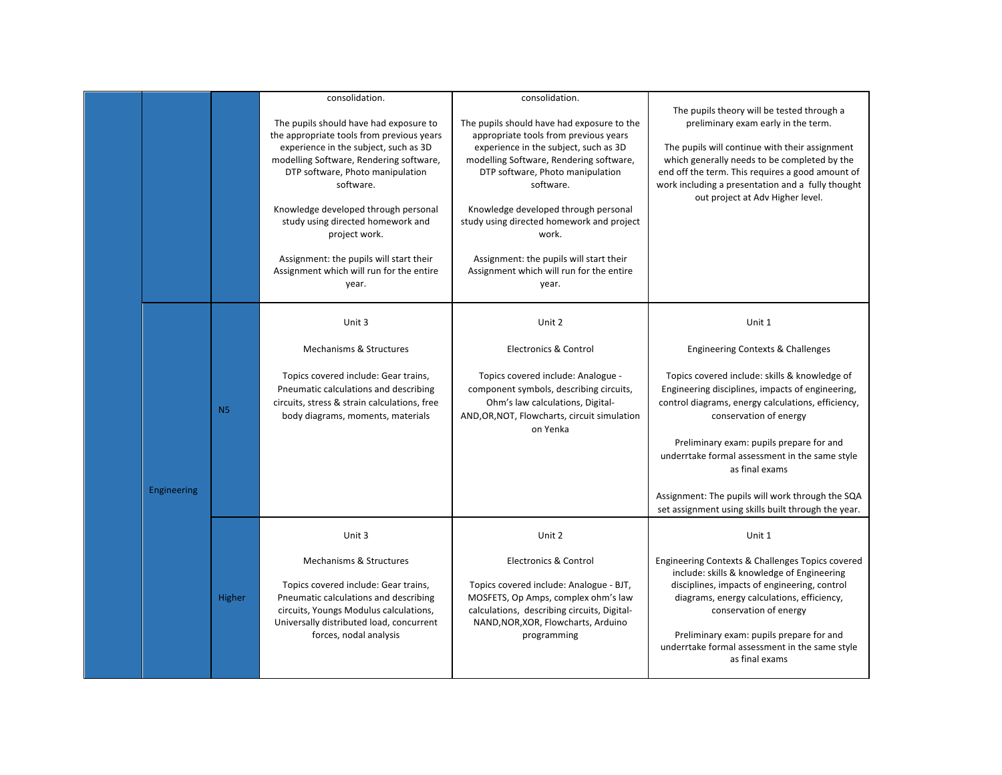|             |           | consolidation.                                                                     | consolidation.                                                                     | The pupils theory will be tested through a                                                     |
|-------------|-----------|------------------------------------------------------------------------------------|------------------------------------------------------------------------------------|------------------------------------------------------------------------------------------------|
|             |           | The pupils should have had exposure to                                             | The pupils should have had exposure to the                                         | preliminary exam early in the term.                                                            |
|             |           | the appropriate tools from previous years<br>experience in the subject, such as 3D | appropriate tools from previous years<br>experience in the subject, such as 3D     | The pupils will continue with their assignment                                                 |
|             |           | modelling Software, Rendering software,                                            | modelling Software, Rendering software,                                            | which generally needs to be completed by the                                                   |
|             |           | DTP software, Photo manipulation                                                   | DTP software, Photo manipulation                                                   | end off the term. This requires a good amount of                                               |
|             |           | software.                                                                          | software.                                                                          | work including a presentation and a fully thought<br>out project at Adv Higher level.          |
|             |           | Knowledge developed through personal                                               | Knowledge developed through personal                                               |                                                                                                |
|             |           | study using directed homework and                                                  | study using directed homework and project<br>work.                                 |                                                                                                |
|             |           | project work.                                                                      |                                                                                    |                                                                                                |
|             |           | Assignment: the pupils will start their                                            | Assignment: the pupils will start their                                            |                                                                                                |
|             |           | Assignment which will run for the entire<br>year.                                  | Assignment which will run for the entire<br>year.                                  |                                                                                                |
|             |           |                                                                                    |                                                                                    |                                                                                                |
|             |           | Unit 3                                                                             | Unit 2                                                                             | Unit 1                                                                                         |
|             |           |                                                                                    |                                                                                    |                                                                                                |
|             |           | Mechanisms & Structures                                                            | <b>Electronics &amp; Control</b>                                                   | Engineering Contexts & Challenges                                                              |
|             |           | Topics covered include: Gear trains,                                               | Topics covered include: Analogue -                                                 | Topics covered include: skills & knowledge of                                                  |
|             |           | Pneumatic calculations and describing                                              | component symbols, describing circuits,                                            | Engineering disciplines, impacts of engineering,                                               |
|             | <b>N5</b> | circuits, stress & strain calculations, free                                       | Ohm's law calculations, Digital-                                                   | control diagrams, energy calculations, efficiency,                                             |
|             |           | body diagrams, moments, materials                                                  | AND, OR, NOT, Flowcharts, circuit simulation<br>on Yenka                           | conservation of energy                                                                         |
|             |           |                                                                                    |                                                                                    | Preliminary exam: pupils prepare for and                                                       |
|             |           |                                                                                    |                                                                                    | underrtake formal assessment in the same style                                                 |
|             |           |                                                                                    |                                                                                    | as final exams                                                                                 |
| Engineering |           |                                                                                    |                                                                                    | Assignment: The pupils will work through the SQA                                               |
|             |           |                                                                                    |                                                                                    | set assignment using skills built through the year.                                            |
|             |           | Unit 3                                                                             | Unit 2                                                                             | Unit 1                                                                                         |
|             |           |                                                                                    |                                                                                    |                                                                                                |
|             |           | Mechanisms & Structures                                                            | <b>Electronics &amp; Control</b>                                                   | Engineering Contexts & Challenges Topics covered<br>include: skills & knowledge of Engineering |
|             |           | Topics covered include: Gear trains,                                               | Topics covered include: Analogue - BJT,                                            | disciplines, impacts of engineering, control                                                   |
|             | Higher    | Pneumatic calculations and describing                                              | MOSFETS, Op Amps, complex ohm's law                                                | diagrams, energy calculations, efficiency,                                                     |
|             |           | circuits, Youngs Modulus calculations,<br>Universally distributed load, concurrent | calculations, describing circuits, Digital-<br>NAND, NOR, XOR, Flowcharts, Arduino | conservation of energy                                                                         |
|             |           | forces, nodal analysis                                                             | programming                                                                        | Preliminary exam: pupils prepare for and                                                       |
|             |           |                                                                                    |                                                                                    | underrtake formal assessment in the same style<br>as final exams                               |
|             |           |                                                                                    |                                                                                    |                                                                                                |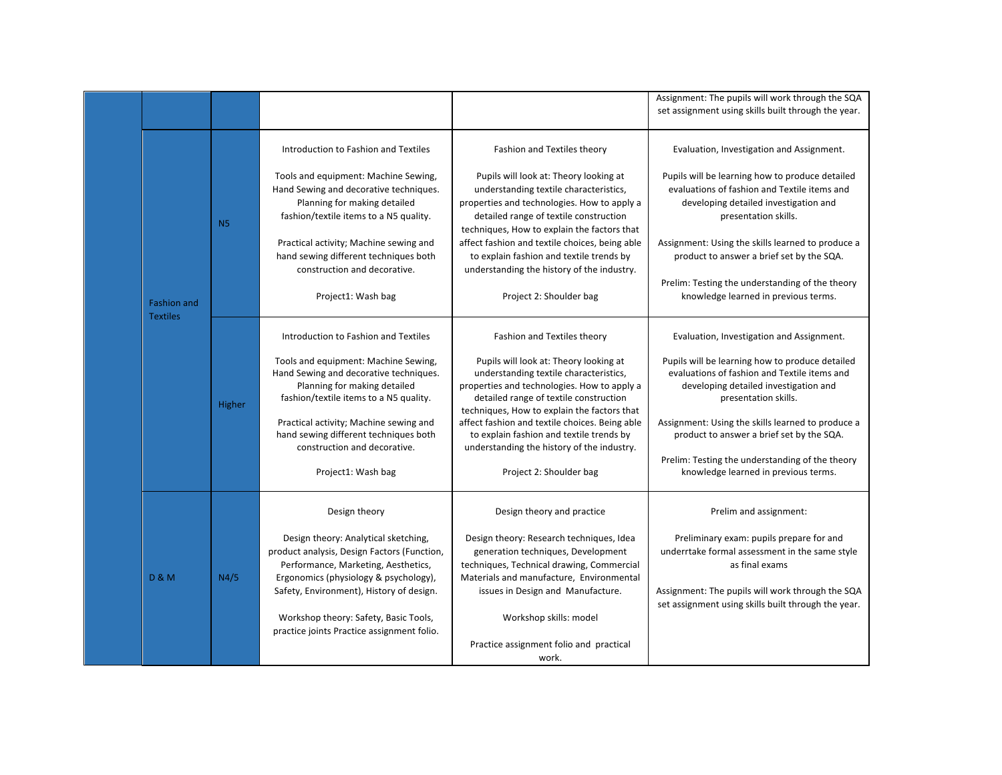| Assignment: The pupils will work through the SQA<br>set assignment using skills built through the year.<br>Introduction to Fashion and Textiles<br>Fashion and Textiles theory<br>Evaluation, Investigation and Assignment.<br>Pupils will be learning how to produce detailed<br>Tools and equipment: Machine Sewing,<br>Pupils will look at: Theory looking at<br>evaluations of fashion and Textile items and<br>Hand Sewing and decorative techniques.<br>understanding textile characteristics,<br>Planning for making detailed<br>properties and technologies. How to apply a<br>developing detailed investigation and<br>fashion/textile items to a N5 quality.<br>detailed range of textile construction<br>presentation skills.<br><b>N5</b><br>techniques, How to explain the factors that<br>Practical activity; Machine sewing and<br>affect fashion and textile choices, being able<br>Assignment: Using the skills learned to produce a<br>hand sewing different techniques both<br>to explain fashion and textile trends by<br>product to answer a brief set by the SQA.<br>construction and decorative.<br>understanding the history of the industry.<br>Prelim: Testing the understanding of the theory<br>knowledge learned in previous terms.<br>Project1: Wash bag<br>Project 2: Shoulder bag<br><b>Fashion and</b><br><b>Textiles</b><br>Introduction to Fashion and Textiles<br>Fashion and Textiles theory<br>Evaluation, Investigation and Assignment.<br>Tools and equipment: Machine Sewing,<br>Pupils will look at: Theory looking at<br>Pupils will be learning how to produce detailed<br>Hand Sewing and decorative techniques.<br>evaluations of fashion and Textile items and<br>understanding textile characteristics,<br>Planning for making detailed<br>properties and technologies. How to apply a<br>developing detailed investigation and<br>detailed range of textile construction<br>fashion/textile items to a N5 quality.<br>presentation skills.<br>Higher<br>techniques, How to explain the factors that<br>Practical activity; Machine sewing and<br>affect fashion and textile choices. Being able<br>Assignment: Using the skills learned to produce a<br>hand sewing different techniques both<br>to explain fashion and textile trends by<br>product to answer a brief set by the SQA.<br>construction and decorative.<br>understanding the history of the industry.<br>Prelim: Testing the understanding of the theory<br>Project1: Wash bag<br>Project 2: Shoulder bag<br>knowledge learned in previous terms.<br>Design theory<br>Design theory and practice<br>Prelim and assignment:<br>Preliminary exam: pupils prepare for and<br>Design theory: Analytical sketching,<br>Design theory: Research techniques, Idea<br>product analysis, Design Factors (Function,<br>generation techniques, Development<br>underrtake formal assessment in the same style<br>Performance, Marketing, Aesthetics,<br>as final exams<br>techniques, Technical drawing, Commercial<br>N4/5<br><b>D &amp; M</b><br>Ergonomics (physiology & psychology),<br>Materials and manufacture, Environmental<br>Safety, Environment), History of design.<br>Assignment: The pupils will work through the SQA<br>issues in Design and Manufacture.<br>set assignment using skills built through the year.<br>Workshop theory: Safety, Basic Tools,<br>Workshop skills: model<br>practice joints Practice assignment folio.<br>Practice assignment folio and practical<br>work. |  |  |  |  |
|-----------------------------------------------------------------------------------------------------------------------------------------------------------------------------------------------------------------------------------------------------------------------------------------------------------------------------------------------------------------------------------------------------------------------------------------------------------------------------------------------------------------------------------------------------------------------------------------------------------------------------------------------------------------------------------------------------------------------------------------------------------------------------------------------------------------------------------------------------------------------------------------------------------------------------------------------------------------------------------------------------------------------------------------------------------------------------------------------------------------------------------------------------------------------------------------------------------------------------------------------------------------------------------------------------------------------------------------------------------------------------------------------------------------------------------------------------------------------------------------------------------------------------------------------------------------------------------------------------------------------------------------------------------------------------------------------------------------------------------------------------------------------------------------------------------------------------------------------------------------------------------------------------------------------------------------------------------------------------------------------------------------------------------------------------------------------------------------------------------------------------------------------------------------------------------------------------------------------------------------------------------------------------------------------------------------------------------------------------------------------------------------------------------------------------------------------------------------------------------------------------------------------------------------------------------------------------------------------------------------------------------------------------------------------------------------------------------------------------------------------------------------------------------------------------------------------------------------------------------------------------------------------------------------------------------------------------------------------------------------------------------------------------------------------------------------------------------------------------------------------------------------------------------------------------------------------------------------------------------------------------------------------------------------------------------------------------------------------------------------------------------------------------------------------------------------------------------------------------------------------------------|--|--|--|--|
|                                                                                                                                                                                                                                                                                                                                                                                                                                                                                                                                                                                                                                                                                                                                                                                                                                                                                                                                                                                                                                                                                                                                                                                                                                                                                                                                                                                                                                                                                                                                                                                                                                                                                                                                                                                                                                                                                                                                                                                                                                                                                                                                                                                                                                                                                                                                                                                                                                                                                                                                                                                                                                                                                                                                                                                                                                                                                                                                                                                                                                                                                                                                                                                                                                                                                                                                                                                                                                                                                                           |  |  |  |  |
|                                                                                                                                                                                                                                                                                                                                                                                                                                                                                                                                                                                                                                                                                                                                                                                                                                                                                                                                                                                                                                                                                                                                                                                                                                                                                                                                                                                                                                                                                                                                                                                                                                                                                                                                                                                                                                                                                                                                                                                                                                                                                                                                                                                                                                                                                                                                                                                                                                                                                                                                                                                                                                                                                                                                                                                                                                                                                                                                                                                                                                                                                                                                                                                                                                                                                                                                                                                                                                                                                                           |  |  |  |  |
|                                                                                                                                                                                                                                                                                                                                                                                                                                                                                                                                                                                                                                                                                                                                                                                                                                                                                                                                                                                                                                                                                                                                                                                                                                                                                                                                                                                                                                                                                                                                                                                                                                                                                                                                                                                                                                                                                                                                                                                                                                                                                                                                                                                                                                                                                                                                                                                                                                                                                                                                                                                                                                                                                                                                                                                                                                                                                                                                                                                                                                                                                                                                                                                                                                                                                                                                                                                                                                                                                                           |  |  |  |  |
|                                                                                                                                                                                                                                                                                                                                                                                                                                                                                                                                                                                                                                                                                                                                                                                                                                                                                                                                                                                                                                                                                                                                                                                                                                                                                                                                                                                                                                                                                                                                                                                                                                                                                                                                                                                                                                                                                                                                                                                                                                                                                                                                                                                                                                                                                                                                                                                                                                                                                                                                                                                                                                                                                                                                                                                                                                                                                                                                                                                                                                                                                                                                                                                                                                                                                                                                                                                                                                                                                                           |  |  |  |  |
|                                                                                                                                                                                                                                                                                                                                                                                                                                                                                                                                                                                                                                                                                                                                                                                                                                                                                                                                                                                                                                                                                                                                                                                                                                                                                                                                                                                                                                                                                                                                                                                                                                                                                                                                                                                                                                                                                                                                                                                                                                                                                                                                                                                                                                                                                                                                                                                                                                                                                                                                                                                                                                                                                                                                                                                                                                                                                                                                                                                                                                                                                                                                                                                                                                                                                                                                                                                                                                                                                                           |  |  |  |  |
|                                                                                                                                                                                                                                                                                                                                                                                                                                                                                                                                                                                                                                                                                                                                                                                                                                                                                                                                                                                                                                                                                                                                                                                                                                                                                                                                                                                                                                                                                                                                                                                                                                                                                                                                                                                                                                                                                                                                                                                                                                                                                                                                                                                                                                                                                                                                                                                                                                                                                                                                                                                                                                                                                                                                                                                                                                                                                                                                                                                                                                                                                                                                                                                                                                                                                                                                                                                                                                                                                                           |  |  |  |  |
|                                                                                                                                                                                                                                                                                                                                                                                                                                                                                                                                                                                                                                                                                                                                                                                                                                                                                                                                                                                                                                                                                                                                                                                                                                                                                                                                                                                                                                                                                                                                                                                                                                                                                                                                                                                                                                                                                                                                                                                                                                                                                                                                                                                                                                                                                                                                                                                                                                                                                                                                                                                                                                                                                                                                                                                                                                                                                                                                                                                                                                                                                                                                                                                                                                                                                                                                                                                                                                                                                                           |  |  |  |  |
|                                                                                                                                                                                                                                                                                                                                                                                                                                                                                                                                                                                                                                                                                                                                                                                                                                                                                                                                                                                                                                                                                                                                                                                                                                                                                                                                                                                                                                                                                                                                                                                                                                                                                                                                                                                                                                                                                                                                                                                                                                                                                                                                                                                                                                                                                                                                                                                                                                                                                                                                                                                                                                                                                                                                                                                                                                                                                                                                                                                                                                                                                                                                                                                                                                                                                                                                                                                                                                                                                                           |  |  |  |  |
|                                                                                                                                                                                                                                                                                                                                                                                                                                                                                                                                                                                                                                                                                                                                                                                                                                                                                                                                                                                                                                                                                                                                                                                                                                                                                                                                                                                                                                                                                                                                                                                                                                                                                                                                                                                                                                                                                                                                                                                                                                                                                                                                                                                                                                                                                                                                                                                                                                                                                                                                                                                                                                                                                                                                                                                                                                                                                                                                                                                                                                                                                                                                                                                                                                                                                                                                                                                                                                                                                                           |  |  |  |  |
|                                                                                                                                                                                                                                                                                                                                                                                                                                                                                                                                                                                                                                                                                                                                                                                                                                                                                                                                                                                                                                                                                                                                                                                                                                                                                                                                                                                                                                                                                                                                                                                                                                                                                                                                                                                                                                                                                                                                                                                                                                                                                                                                                                                                                                                                                                                                                                                                                                                                                                                                                                                                                                                                                                                                                                                                                                                                                                                                                                                                                                                                                                                                                                                                                                                                                                                                                                                                                                                                                                           |  |  |  |  |
|                                                                                                                                                                                                                                                                                                                                                                                                                                                                                                                                                                                                                                                                                                                                                                                                                                                                                                                                                                                                                                                                                                                                                                                                                                                                                                                                                                                                                                                                                                                                                                                                                                                                                                                                                                                                                                                                                                                                                                                                                                                                                                                                                                                                                                                                                                                                                                                                                                                                                                                                                                                                                                                                                                                                                                                                                                                                                                                                                                                                                                                                                                                                                                                                                                                                                                                                                                                                                                                                                                           |  |  |  |  |
|                                                                                                                                                                                                                                                                                                                                                                                                                                                                                                                                                                                                                                                                                                                                                                                                                                                                                                                                                                                                                                                                                                                                                                                                                                                                                                                                                                                                                                                                                                                                                                                                                                                                                                                                                                                                                                                                                                                                                                                                                                                                                                                                                                                                                                                                                                                                                                                                                                                                                                                                                                                                                                                                                                                                                                                                                                                                                                                                                                                                                                                                                                                                                                                                                                                                                                                                                                                                                                                                                                           |  |  |  |  |
|                                                                                                                                                                                                                                                                                                                                                                                                                                                                                                                                                                                                                                                                                                                                                                                                                                                                                                                                                                                                                                                                                                                                                                                                                                                                                                                                                                                                                                                                                                                                                                                                                                                                                                                                                                                                                                                                                                                                                                                                                                                                                                                                                                                                                                                                                                                                                                                                                                                                                                                                                                                                                                                                                                                                                                                                                                                                                                                                                                                                                                                                                                                                                                                                                                                                                                                                                                                                                                                                                                           |  |  |  |  |
|                                                                                                                                                                                                                                                                                                                                                                                                                                                                                                                                                                                                                                                                                                                                                                                                                                                                                                                                                                                                                                                                                                                                                                                                                                                                                                                                                                                                                                                                                                                                                                                                                                                                                                                                                                                                                                                                                                                                                                                                                                                                                                                                                                                                                                                                                                                                                                                                                                                                                                                                                                                                                                                                                                                                                                                                                                                                                                                                                                                                                                                                                                                                                                                                                                                                                                                                                                                                                                                                                                           |  |  |  |  |